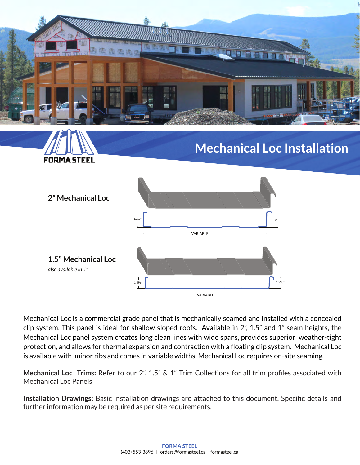

# **Mechanical Loc Installation**



**FORMA STEEL** 

Mechanical Loc is a commercial grade panel that is mechanically seamed and installed with a concealed clip system. This panel is ideal for shallow sloped roofs. Available in 2", 1.5" and 1" seam heights, the Mechanical Loc panel system creates long clean lines with wide spans, provides superior weather-tight protection, and allows for thermal expansion and contraction with a floating clip system. Mechanical Loc is available with minor ribs and comes in variable widths. Mechanical Loc requires on-site seaming.

**Mechanical Loc Trims:** Refer to our 2", 1.5" & 1" Trim Collections for all trim profiles associated with Mechanical Loc Panels

**Installation Drawings:** Basic installation drawings are attached to this document. Specific details and further information may be required as per site requirements.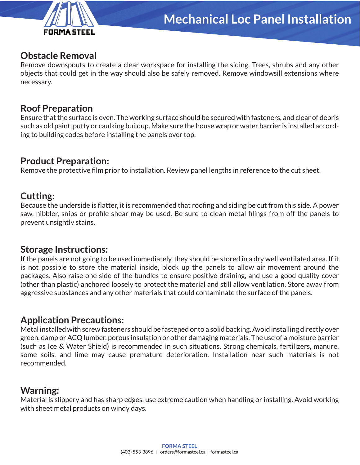

#### **Obstacle Removal**

Remove downspouts to create a clear workspace for installing the siding. Trees, shrubs and any other objects that could get in the way should also be safely removed. Remove windowsill extensions where necessary.

#### **Roof Preparation**

Ensure that the surface is even. The working surface should be secured with fasteners, and clear of debris such as old paint, putty or caulking buildup. Make sure the house wrap or water barrier is installed according to building codes before installing the panels over top.

#### **Product Preparation:**

Remove the protective film prior to installation. Review panel lengths in reference to the cut sheet.

#### **Cutting:**

Because the underside is flatter, it is recommended that roofing and siding be cut from this side. A power saw, nibbler, snips or profile shear may be used. Be sure to clean metal filings from off the panels to prevent unsightly stains.

#### **Storage Instructions:**

If the panels are not going to be used immediately, they should be stored in a dry well ventilated area. If it is not possible to store the material inside, block up the panels to allow air movement around the packages. Also raise one side of the bundles to ensure positive draining, and use a good quality cover (other than plastic) anchored loosely to protect the material and still allow ventilation. Store away from aggressive substances and any other materials that could contaminate the surface of the panels.

#### **Application Precautions:**

Metal installed with screw fasteners should be fastened onto a solid backing. Avoid installing directly over green, damp or ACQ lumber, porous insulation or other damaging materials. The use of a moisture barrier (such as Ice & Water Shield) is recommended in such situations. Strong chemicals, fertilizers, manure, some soils, and lime may cause premature deterioration. Installation near such materials is not recommended.

#### **Warning:**

Material is slippery and has sharp edges, use extreme caution when handling or installing. Avoid working with sheet metal products on windy days.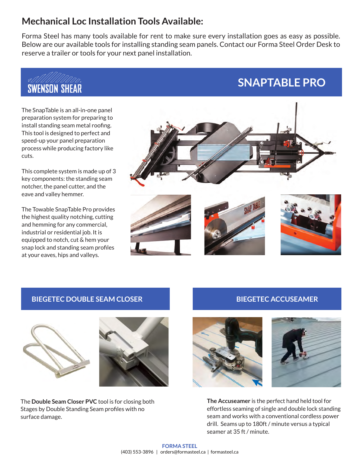#### **Mechanical Loc Installation Tools Available:**

Forma Steel has many tools available for rent to make sure every installation goes as easy as possible. Below are our available tools for installing standing seam panels. Contact our Forma Steel Order Desk to reserve a trailer or tools for your next panel installation.



The SnapTable is an all-in-one panel preparation system for preparing to install standing seam metal roofing. This tool is designed to perfect and speed-up your panel preparation process while producing factory like cuts.

This complete system is made up of 3 key components: the standing seam notcher, the panel cutter, and the eave and valley hemmer.

The Towable SnapTable Pro provides the highest quality notching, cutting and hemming for any commercial, industrial or residential job. It is equipped to notch, cut & hem your snap lock and standing seam profiles at your eaves, hips and valleys.



#### **BIEGETEC DOUBLE SEAM CLOSER**





The **Double Seam Closer PVC** tool is for closing both Stages by Double Standing Seam profiles with no surface damage.

#### **BIEGETEC ACCUSEAMER**

**SNAPTABLE PRO**





**The Accuseamer** is the perfect hand held tool for effortless seaming of single and double lock standing seam and works with a conventional cordless power drill. Seams up to 180ft / minute versus a typical seamer at 35 ft / minute.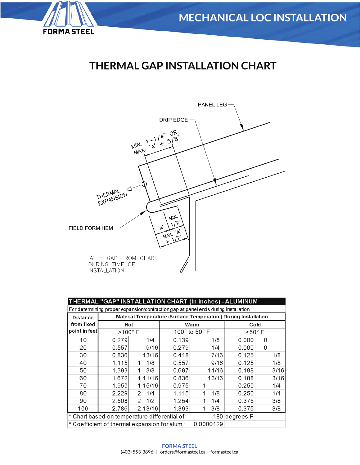

# **THERMAL GAP INSTALLATION CHART**



| THERMAL "GAP" INSTALLATION CHART (In inches) - ALUMINUM                            |                                                                |          |           |                                   |                    |      |  |  |  |  |
|------------------------------------------------------------------------------------|----------------------------------------------------------------|----------|-----------|-----------------------------------|--------------------|------|--|--|--|--|
| For determining proper expansion/contraction gap at panel ends during installation |                                                                |          |           |                                   |                    |      |  |  |  |  |
| <b>Distance</b>                                                                    | Material Temperature (Surface Temperature) During Installation |          |           |                                   |                    |      |  |  |  |  |
| from fixed                                                                         | Hot                                                            |          |           | Warm                              | Cold               |      |  |  |  |  |
| point in feet                                                                      | $>100^\circ$ F                                                 |          |           | 100 $^{\circ}$ to 50 $^{\circ}$ F | $<$ 50 $\degree$ F |      |  |  |  |  |
| 10                                                                                 | 0.279                                                          | 1/4      | 0.139     | 1/8                               | 0.000              | 0    |  |  |  |  |
| 20                                                                                 | 0.557                                                          | 9/16     | 0.279     | 1/4                               | 0.000              | 0    |  |  |  |  |
| 30                                                                                 | 0.836                                                          | 13/16    | 0.418     | 7/16                              | 0.125              | 1/8  |  |  |  |  |
| 40                                                                                 | 1.115                                                          | 1/8<br>1 | 0.557     | 9/16                              | 0.125              | 1/8  |  |  |  |  |
| 50                                                                                 | 1.393                                                          | 3/8<br>1 | 0.697     | 11/16                             | 0.188              | 3/16 |  |  |  |  |
| 60                                                                                 | 1.672                                                          | 1 11/16  | 0.836     | 13/16                             | 0.188              | 3/16 |  |  |  |  |
| 70                                                                                 | 1.950                                                          | 1 15/16  | 0.975     |                                   | 0.250              | 1/4  |  |  |  |  |
| 80                                                                                 | 2.229                                                          | 1/4<br>2 | 1.115     | 1/8<br>1                          | 0.250              | 1/4  |  |  |  |  |
| 90                                                                                 | 2.508                                                          | 1/2<br>2 | 1.254     | 1/4                               | 0.375              | 3/8  |  |  |  |  |
| 100                                                                                | 2.786                                                          | 2 13/16  | 1.393     | 3/8<br>$\mathbf{1}$               | 0.375              | 3/8  |  |  |  |  |
|                                                                                    | * Chart based on temperature differential of:                  |          |           | $180$ degrees F                   |                    |      |  |  |  |  |
|                                                                                    | * Coefficient of thermal expansion for alum.:                  |          | 0.0000129 |                                   |                    |      |  |  |  |  |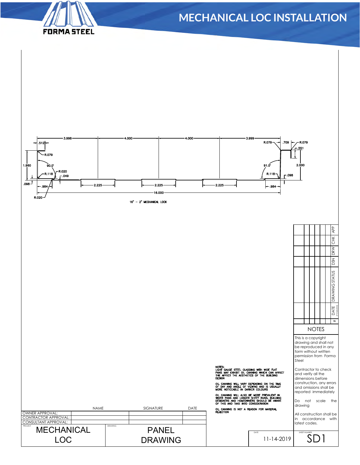# **FORMA STEEL**

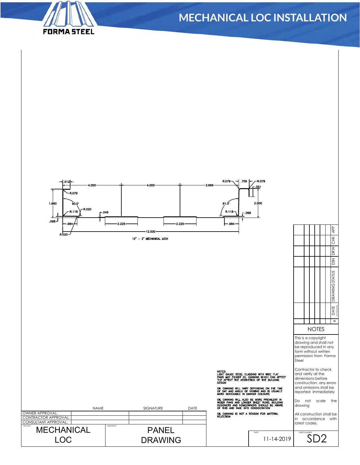

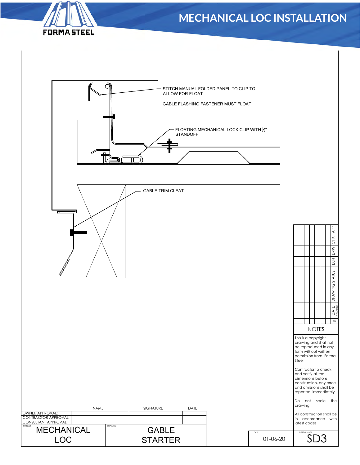

| $\Box$                                                                                                     | ALLOW FOR FLOAT<br><b>GABLE TRIM CLEAT</b>                     | STITCH MANUAL FOLDED PANEL TO CLIP TO<br>GABLE FLASHING FASTENER MUST FLOAT<br>FLOATING MECHANICAL LOCK CLIP WITH 1/2"<br>STANDOFF | $\overline{AP}$                                                                                                                                                                                                                                                                                                                |  |
|------------------------------------------------------------------------------------------------------------|----------------------------------------------------------------|------------------------------------------------------------------------------------------------------------------------------------|--------------------------------------------------------------------------------------------------------------------------------------------------------------------------------------------------------------------------------------------------------------------------------------------------------------------------------|--|
|                                                                                                            |                                                                |                                                                                                                                    | <b>CHK</b><br>DRW<br>$\overline{MS}$<br>DRAWING STATUS                                                                                                                                                                                                                                                                         |  |
|                                                                                                            |                                                                |                                                                                                                                    | DATE<br>MANGEL<br>$\ddagger$<br><b>NOTES</b><br>This is a copyright<br>drawing and shall not<br>be reproduced in any<br>form without written<br>permission from Forma<br>Steel<br>Contractor to check<br>and verify all the<br>dimensions before<br>construction, any errors<br>and omissions shall be<br>reported immediately |  |
| NAME<br>OWNER APPROVAL:<br>CONTRACTOR APPROVAL:<br>CONSULTANT APPROVAL:<br><b>MECHANICAL</b><br><b>LOC</b> | SIGNATURE<br>DATE<br>DRAWING<br><b>GABLE</b><br><b>STARTER</b> | DATE<br>01-06-20                                                                                                                   | Do<br>not scale the<br>drawing<br>All construction shall be<br>in accordance with<br>latest codes.<br>SHEET NUMBER                                                                                                                                                                                                             |  |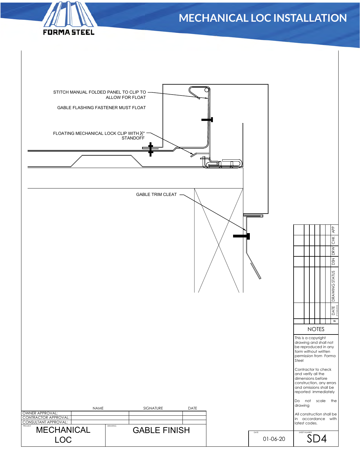# | DATE | DRAWING STATUS | DSN | DRW CHK | APP |<br>| <sub>mwww.</sub>colis<br>| mww.colistatus |



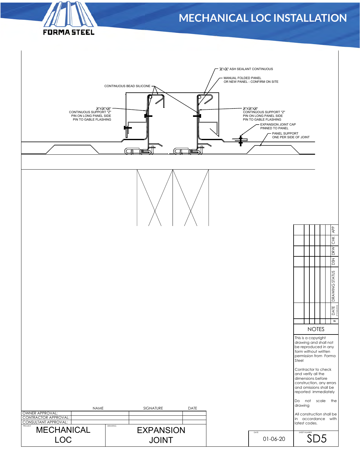

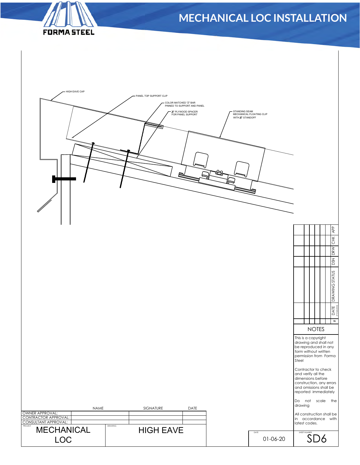

| - HIGH EAVE CAP                                                 |         | - PANEL TOP SUPPORT CLIP<br>COLOR MATCHED "Z" BAR | PINNED TO SUPPORT AND PANEL<br>X" PLYWOOD SPACER<br>FOR PANEL SUPPORT | STANDING SEAM<br>WITH X" STANDOFF | MECHANICAL FLOATING CLIP | <b>APP</b><br>СK<br><b>DRW</b><br><b>DSN</b><br>STATUS<br>DRAWING 3<br>DATE<br>muunna<br>#<br><b>NOTES</b><br>This is a copyright<br>drawing and shall not<br>be reproduced in any<br>form without written<br>permission from Forma<br>Steel<br>Contractor to check<br>and verify all the<br>dimensions before<br>construction, any errors<br>and omissions shall be |  |
|-----------------------------------------------------------------|---------|---------------------------------------------------|-----------------------------------------------------------------------|-----------------------------------|--------------------------|----------------------------------------------------------------------------------------------------------------------------------------------------------------------------------------------------------------------------------------------------------------------------------------------------------------------------------------------------------------------|--|
|                                                                 |         |                                                   |                                                                       |                                   |                          | reported immediately                                                                                                                                                                                                                                                                                                                                                 |  |
| NAME                                                            |         | SIGNATURE                                         | DATE                                                                  |                                   |                          | Do not scale the<br>drawing                                                                                                                                                                                                                                                                                                                                          |  |
| OWNER APPROVAL:<br>CONTRACTOR APPROVAL:<br>CONSULTANT APPROVAL: |         |                                                   |                                                                       |                                   |                          | All construction shall be<br>in accordance with                                                                                                                                                                                                                                                                                                                      |  |
| <b>MECHANICAL</b>                                               | DRAWING | <b>HIGH EAVE</b>                                  |                                                                       |                                   |                          | latest codes.                                                                                                                                                                                                                                                                                                                                                        |  |
| <b>LOC</b>                                                      |         |                                                   |                                                                       |                                   | DATE<br>01-06-20         | SHEET NUMBER<br>SD6                                                                                                                                                                                                                                                                                                                                                  |  |
|                                                                 |         |                                                   |                                                                       |                                   |                          |                                                                                                                                                                                                                                                                                                                                                                      |  |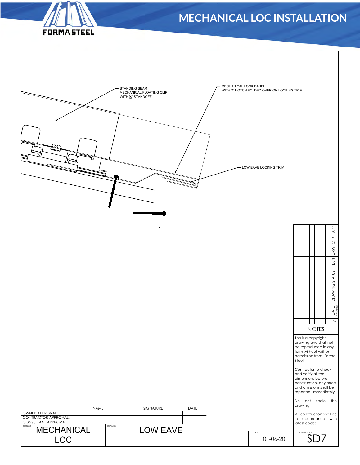

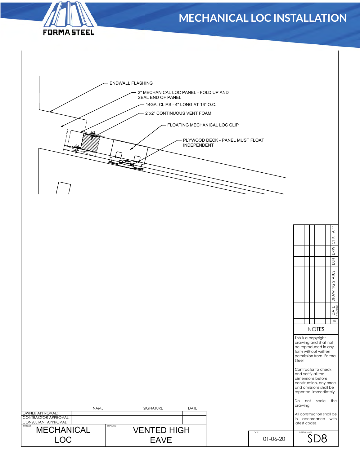





|                                                                 |             |         |                                   |      |                  | <b>I CONTRACTOR TO CHECK</b><br>and verify all the<br>dimensions before<br>construction, any errors |  |
|-----------------------------------------------------------------|-------------|---------|-----------------------------------|------|------------------|-----------------------------------------------------------------------------------------------------|--|
|                                                                 |             |         |                                   |      |                  | and omissions shall be<br>reported immediately<br>the<br>scale<br>I Do<br>not                       |  |
|                                                                 | <b>NAME</b> |         | <b>SIGNATURE</b>                  | DATE |                  | drawing                                                                                             |  |
| OWNER APPROVAL:<br>CONTRACTOR APPROVAL:<br>CONSULTANT APPROVAL: |             |         |                                   |      |                  | All construction shall be<br>accordance with<br>l in<br>latest codes.                               |  |
| PROJECT<br><b>MECHANICAL</b><br><b>LOC</b>                      |             | DRAWING | <b>VENTED HIGH</b><br><b>EAVE</b> |      | DATE<br>01-06-20 | SHEET NUMBER<br>SD8                                                                                 |  |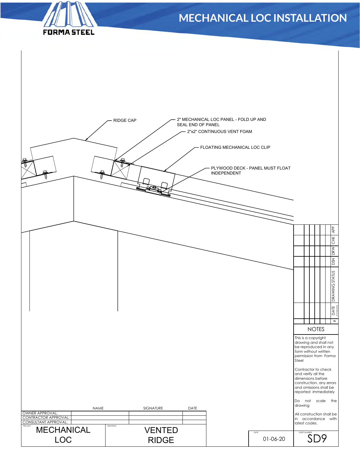

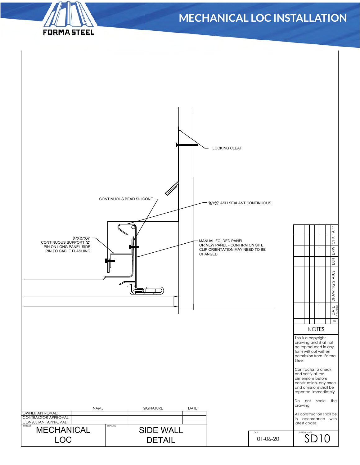